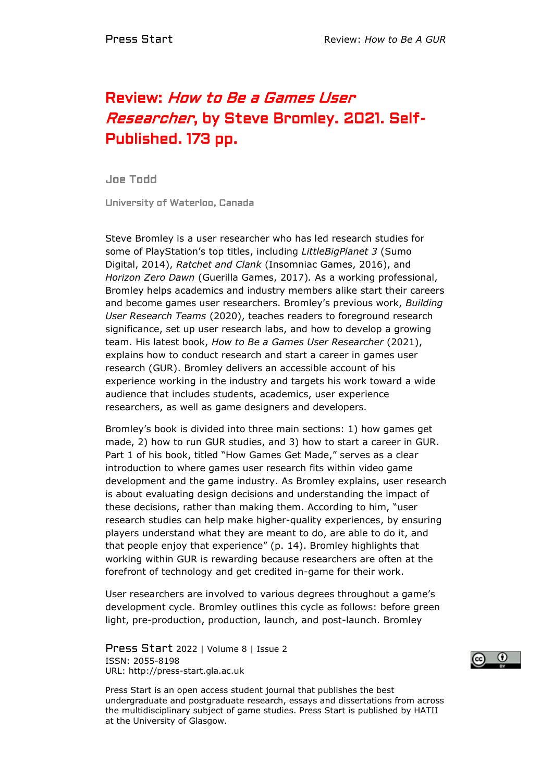## Review: How to Be a Games User Researcher, by Steve Bromley. 2021. Self-Published. 173 pp.

Joe Todd

University of Waterloo, Canada

Steve Bromley is a user researcher who has led research studies for some of PlayStation's top titles, including *LittleBigPlanet 3* (Sumo Digital, 2014), *Ratchet and Clank* (Insomniac Games, 2016), and *Horizon Zero Dawn* (Guerilla Games, 2017)*.* As a working professional, Bromley helps academics and industry members alike start their careers and become games user researchers. Bromley's previous work, *Building User Research Teams* (2020), teaches readers to foreground research significance, set up user research labs, and how to develop a growing team. His latest book, *How to Be a Games User Researcher* (2021), explains how to conduct research and start a career in games user research (GUR). Bromley delivers an accessible account of his experience working in the industry and targets his work toward a wide audience that includes students, academics, user experience researchers, as well as game designers and developers.

Bromley's book is divided into three main sections: 1) how games get made, 2) how to run GUR studies, and 3) how to start a career in GUR. Part 1 of his book, titled "How Games Get Made," serves as a clear introduction to where games user research fits within video game development and the game industry. As Bromley explains, user research is about evaluating design decisions and understanding the impact of these decisions, rather than making them. According to him, "user research studies can help make higher-quality experiences, by ensuring players understand what they are meant to do, are able to do it, and that people enjoy that experience" (p. 14). Bromley highlights that working within GUR is rewarding because researchers are often at the forefront of technology and get credited in-game for their work.

User researchers are involved to various degrees throughout a game's development cycle. Bromley outlines this cycle as follows: before green light, pre-production, production, launch, and post-launch. Bromley

Press Start 2022 | Volume 8 | Issue 2 ISSN: 2055-8198 URL: http://press-start.gla.ac.uk



Press Start is an open access student journal that publishes the best undergraduate and postgraduate research, essays and dissertations from across the multidisciplinary subject of game studies. Press Start is published by HATII at the University of Glasgow.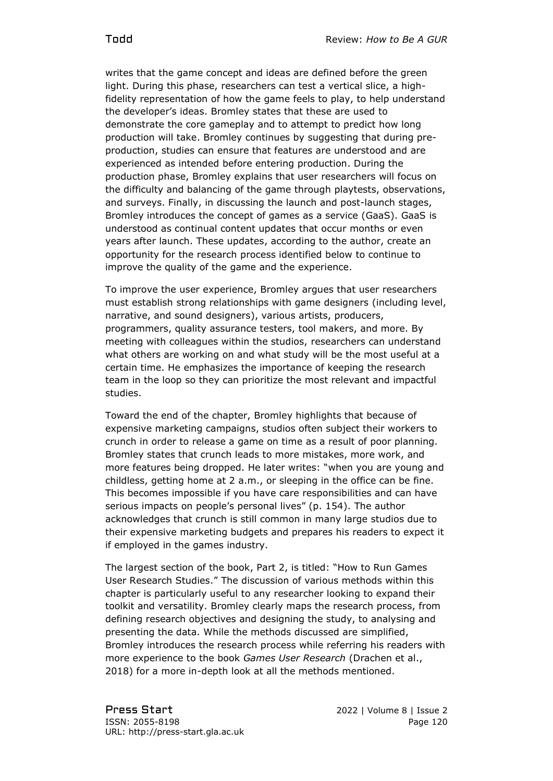writes that the game concept and ideas are defined before the green light. During this phase, researchers can test a vertical slice, a highfidelity representation of how the game feels to play, to help understand the developer's ideas. Bromley states that these are used to demonstrate the core gameplay and to attempt to predict how long production will take. Bromley continues by suggesting that during preproduction, studies can ensure that features are understood and are experienced as intended before entering production. During the production phase, Bromley explains that user researchers will focus on the difficulty and balancing of the game through playtests, observations, and surveys. Finally, in discussing the launch and post-launch stages, Bromley introduces the concept of games as a service (GaaS). GaaS is understood as continual content updates that occur months or even years after launch. These updates, according to the author, create an opportunity for the research process identified below to continue to improve the quality of the game and the experience.

To improve the user experience, Bromley argues that user researchers must establish strong relationships with game designers (including level, narrative, and sound designers), various artists, producers, programmers, quality assurance testers, tool makers, and more. By meeting with colleagues within the studios, researchers can understand what others are working on and what study will be the most useful at a certain time. He emphasizes the importance of keeping the research team in the loop so they can prioritize the most relevant and impactful studies.

Toward the end of the chapter, Bromley highlights that because of expensive marketing campaigns, studios often subject their workers to crunch in order to release a game on time as a result of poor planning. Bromley states that crunch leads to more mistakes, more work, and more features being dropped. He later writes: "when you are young and childless, getting home at 2 a.m., or sleeping in the office can be fine. This becomes impossible if you have care responsibilities and can have serious impacts on people's personal lives" (p. 154). The author acknowledges that crunch is still common in many large studios due to their expensive marketing budgets and prepares his readers to expect it if employed in the games industry.

The largest section of the book, Part 2, is titled: "How to Run Games User Research Studies." The discussion of various methods within this chapter is particularly useful to any researcher looking to expand their toolkit and versatility. Bromley clearly maps the research process, from defining research objectives and designing the study, to analysing and presenting the data. While the methods discussed are simplified, Bromley introduces the research process while referring his readers with more experience to the book *Games User Research* (Drachen et al., 2018) for a more in-depth look at all the methods mentioned.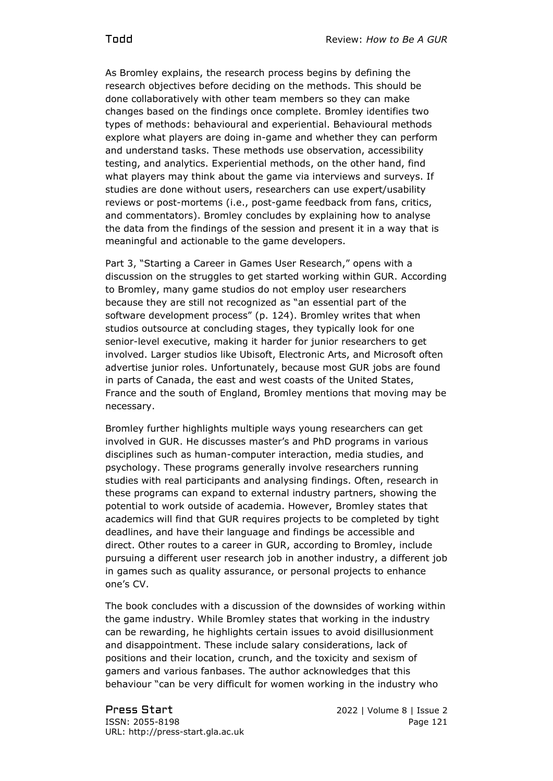As Bromley explains, the research process begins by defining the research objectives before deciding on the methods. This should be done collaboratively with other team members so they can make changes based on the findings once complete. Bromley identifies two types of methods: behavioural and experiential. Behavioural methods explore what players are doing in-game and whether they can perform and understand tasks. These methods use observation, accessibility testing, and analytics. Experiential methods, on the other hand, find what players may think about the game via interviews and surveys. If studies are done without users, researchers can use expert/usability reviews or post-mortems (i.e., post-game feedback from fans, critics, and commentators). Bromley concludes by explaining how to analyse the data from the findings of the session and present it in a way that is meaningful and actionable to the game developers.

Part 3, "Starting a Career in Games User Research," opens with a discussion on the struggles to get started working within GUR. According to Bromley, many game studios do not employ user researchers because they are still not recognized as "an essential part of the software development process" (p. 124). Bromley writes that when studios outsource at concluding stages, they typically look for one senior-level executive, making it harder for junior researchers to get involved. Larger studios like Ubisoft, Electronic Arts, and Microsoft often advertise junior roles. Unfortunately, because most GUR jobs are found in parts of Canada, the east and west coasts of the United States, France and the south of England, Bromley mentions that moving may be necessary.

Bromley further highlights multiple ways young researchers can get involved in GUR. He discusses master's and PhD programs in various disciplines such as human-computer interaction, media studies, and psychology. These programs generally involve researchers running studies with real participants and analysing findings. Often, research in these programs can expand to external industry partners, showing the potential to work outside of academia. However, Bromley states that academics will find that GUR requires projects to be completed by tight deadlines, and have their language and findings be accessible and direct. Other routes to a career in GUR, according to Bromley, include pursuing a different user research job in another industry, a different job in games such as quality assurance, or personal projects to enhance one's CV.

The book concludes with a discussion of the downsides of working within the game industry. While Bromley states that working in the industry can be rewarding, he highlights certain issues to avoid disillusionment and disappointment. These include salary considerations, lack of positions and their location, crunch, and the toxicity and sexism of gamers and various fanbases. The author acknowledges that this behaviour "can be very difficult for women working in the industry who

Press Start 2022 | Volume 8 | Issue 2 ISSN: 2055-8198 Page 121 URL: http://press-start.gla.ac.uk